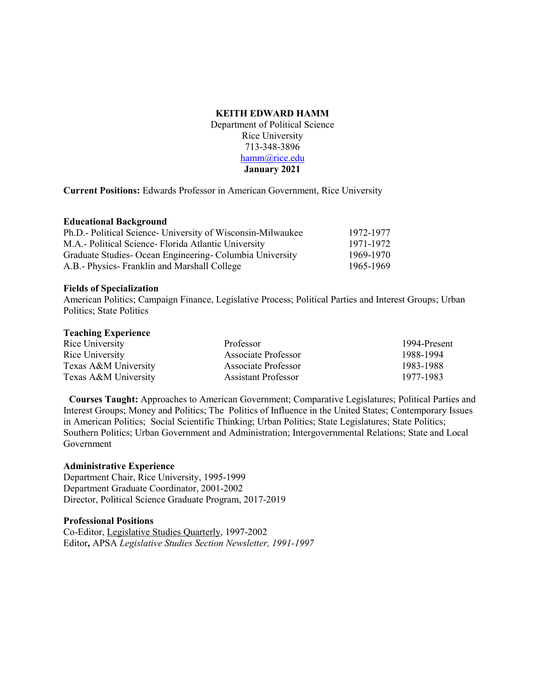## **KEITH EDWARD HAMM**

Department of Political Science Rice University 713-348-3896 [hamm@rice.edu](mailto:hamm@rice.edu) **January 2021**

**Current Positions:** Edwards Professor in American Government, Rice University

#### **Educational Background**

| Ph.D.- Political Science- University of Wisconsin-Milwaukee | 1972-1977 |
|-------------------------------------------------------------|-----------|
| M.A.- Political Science- Florida Atlantic University        | 1971-1972 |
| Graduate Studies-Ocean Engineering-Columbia University      | 1969-1970 |
| A.B.- Physics- Franklin and Marshall College                | 1965-1969 |

#### **Fields of Specialization**

American Politics; Campaign Finance, Legislative Process; Political Parties and Interest Groups; Urban Politics; State Politics

#### **Teaching Experience**

| Rice University      | Professor           | 1994-Present |
|----------------------|---------------------|--------------|
| Rice University      | Associate Professor | 1988-1994    |
| Texas A&M University | Associate Professor | 1983-1988    |
| Texas A&M University | Assistant Professor | 1977-1983    |

**Courses Taught:** Approaches to American Government; Comparative Legislatures; Political Parties and Interest Groups; Money and Politics; The Politics of Influence in the United States; Contemporary Issues in American Politics; Social Scientific Thinking; Urban Politics; State Legislatures; State Politics; Southern Politics; Urban Government and Administration; Intergovernmental Relations; State and Local Government

#### **Administrative Experience**

Department Chair, Rice University, 1995-1999 Department Graduate Coordinator, 2001-2002 Director, Political Science Graduate Program, 2017-2019

#### **Professional Positions**

Co-Editor, Legislative Studies Quarterly, 1997-2002 Editor**,** APSA *Legislative Studies Section Newsletter, 1991-1997*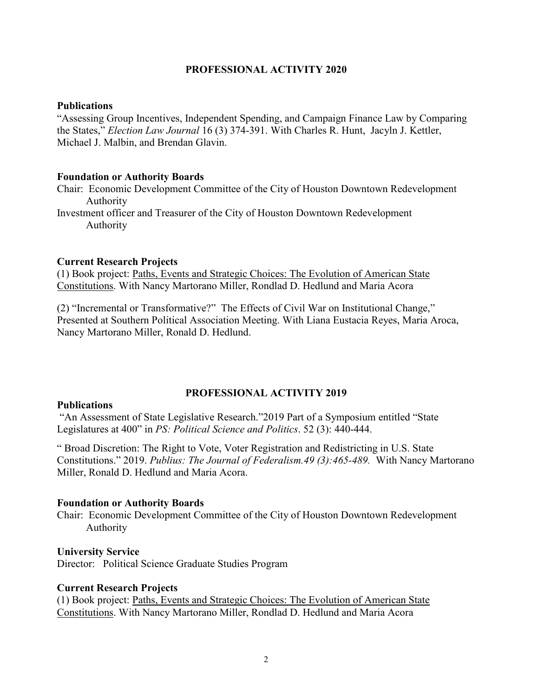# **PROFESSIONAL ACTIVITY 2020**

## **Publications**

"Assessing Group Incentives, Independent Spending, and Campaign Finance Law by Comparing the States," *Election Law Journal* 16 (3) 374-391. With Charles R. Hunt, Jacyln J. Kettler, Michael J. Malbin, and Brendan Glavin.

# **Foundation or Authority Boards**

Chair: Economic Development Committee of the City of Houston Downtown Redevelopment Authority

Investment officer and Treasurer of the City of Houston Downtown Redevelopment Authority

## **Current Research Projects**

(1) Book project: Paths, Events and Strategic Choices: The Evolution of American State Constitutions. With Nancy Martorano Miller, Rondlad D. Hedlund and Maria Acora

(2) "Incremental or Transformative?" The Effects of Civil War on Institutional Change," Presented at Southern Political Association Meeting. With Liana Eustacia Reyes, Maria Aroca, Nancy Martorano Miller, Ronald D. Hedlund.

# **PROFESSIONAL ACTIVITY 2019**

### **Publications**

"An Assessment of State Legislative Research."2019 Part of a Symposium entitled "State Legislatures at 400" in *PS: Political Science and Politics*. 52 (3): 440-444.

" Broad Discretion: The Right to Vote, Voter Registration and Redistricting in U.S. State Constitutions." 2019. *Publius: The Journal of Federalism.49 (3):465-489.* With Nancy Martorano Miller, Ronald D. Hedlund and Maria Acora.

# **Foundation or Authority Boards**

Chair: Economic Development Committee of the City of Houston Downtown Redevelopment Authority

### **University Service**

Director: Political Science Graduate Studies Program

# **Current Research Projects**

(1) Book project: Paths, Events and Strategic Choices: The Evolution of American State Constitutions. With Nancy Martorano Miller, Rondlad D. Hedlund and Maria Acora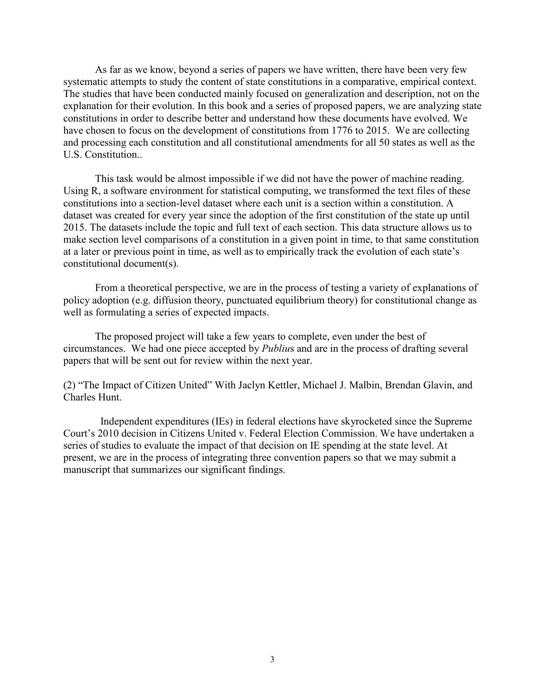As far as we know, beyond a series of papers we have written, there have been very few systematic attempts to study the content of state constitutions in a comparative, empirical context. The studies that have been conducted mainly focused on generalization and description, not on the explanation for their evolution. In this book and a series of proposed papers, we are analyzing state constitutions in order to describe better and understand how these documents have evolved. We have chosen to focus on the development of constitutions from 1776 to 2015. We are collecting and processing each constitution and all constitutional amendments for all 50 states as well as the U.S. Constitution..

This task would be almost impossible if we did not have the power of machine reading. Using R, a software environment for statistical computing, we transformed the text files of these constitutions into a section-level dataset where each unit is a section within a constitution. A dataset was created for every year since the adoption of the first constitution of the state up until 2015. The datasets include the topic and full text of each section. This data structure allows us to make section level comparisons of a constitution in a given point in time, to that same constitution at a later or previous point in time, as well as to empirically track the evolution of each state's constitutional document(s).

From a theoretical perspective, we are in the process of testing a variety of explanations of policy adoption (e.g. diffusion theory, punctuated equilibrium theory) for constitutional change as well as formulating a series of expected impacts.

The proposed project will take a few years to complete, even under the best of circumstances. We had one piece accepted by *Publiu*s and are in the process of drafting several papers that will be sent out for review within the next year.

(2) "The Impact of Citizen United" With Jaclyn Kettler, Michael J. Malbin, Brendan Glavin, and Charles Hunt.

 Independent expenditures (IEs) in federal elections have skyrocketed since the Supreme Court's 2010 decision in Citizens United v. Federal Election Commission. We have undertaken a series of studies to evaluate the impact of that decision on IE spending at the state level. At present, we are in the process of integrating three convention papers so that we may submit a manuscript that summarizes our significant findings.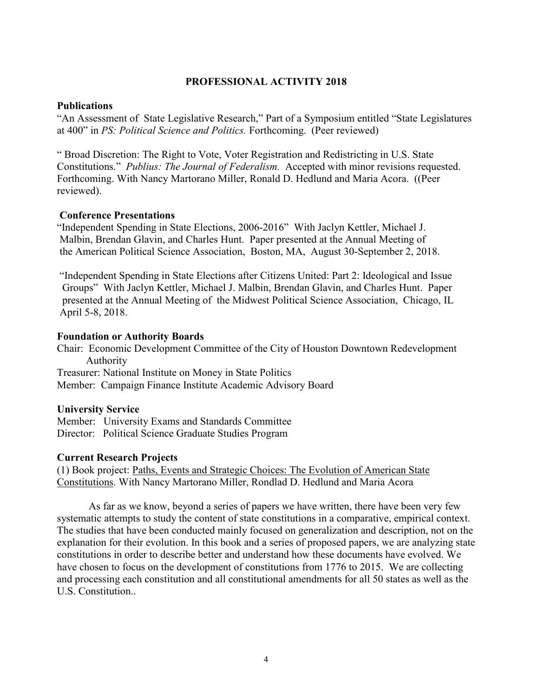# **PROFESSIONAL ACTIVITY 2018**

### **Publications**

"An Assessment of State Legislative Research," Part of a Symposium entitled "State Legislatures at 400" in *PS: Political Science and Politics.* Forthcoming. (Peer reviewed)

" Broad Discretion: The Right to Vote, Voter Registration and Redistricting in U.S. State Constitutions." *Publius: The Journal of Federalism.* Accepted with minor revisions requested. Forthcoming. With Nancy Martorano Miller, Ronald D. Hedlund and Maria Acora. ((Peer reviewed).

# **Conference Presentations**

"Independent Spending in State Elections, 2006-2016" With Jaclyn Kettler, Michael J. Malbin, Brendan Glavin, and Charles Hunt. Paper presented at the Annual Meeting of the American Political Science Association, Boston, MA, August 30-September 2, 2018.

"Independent Spending in State Elections after Citizens United: Part 2: Ideological and Issue Groups" With Jaclyn Kettler, Michael J. Malbin, Brendan Glavin, and Charles Hunt. Paper presented at the Annual Meeting of the Midwest Political Science Association, Chicago, IL April 5-8, 2018.

## **Foundation or Authority Boards**

Chair: Economic Development Committee of the City of Houston Downtown Redevelopment Authority

Treasurer: National Institute on Money in State Politics

Member: Campaign Finance Institute Academic Advisory Board

# **University Service**

Member: University Exams and Standards Committee Director: Political Science Graduate Studies Program

# **Current Research Projects**

(1) Book project: Paths, Events and Strategic Choices: The Evolution of American State Constitutions. With Nancy Martorano Miller, Rondlad D. Hedlund and Maria Acora

As far as we know, beyond a series of papers we have written, there have been very few systematic attempts to study the content of state constitutions in a comparative, empirical context. The studies that have been conducted mainly focused on generalization and description, not on the explanation for their evolution. In this book and a series of proposed papers, we are analyzing state constitutions in order to describe better and understand how these documents have evolved. We have chosen to focus on the development of constitutions from 1776 to 2015. We are collecting and processing each constitution and all constitutional amendments for all 50 states as well as the U.S. Constitution..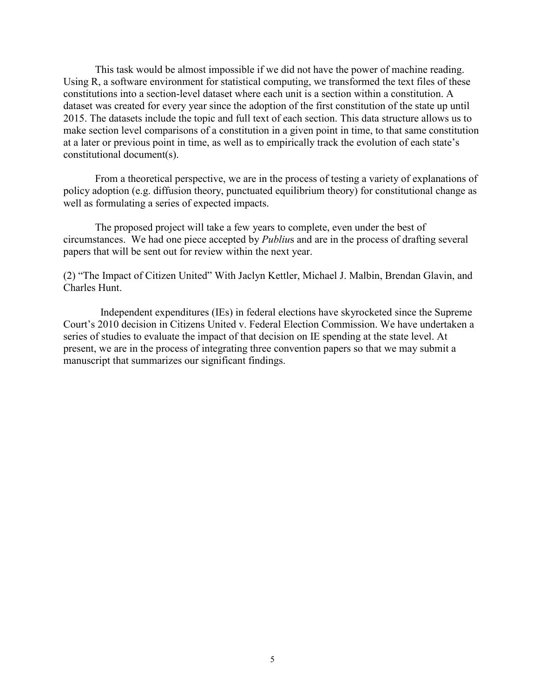This task would be almost impossible if we did not have the power of machine reading. Using R, a software environment for statistical computing, we transformed the text files of these constitutions into a section-level dataset where each unit is a section within a constitution. A dataset was created for every year since the adoption of the first constitution of the state up until 2015. The datasets include the topic and full text of each section. This data structure allows us to make section level comparisons of a constitution in a given point in time, to that same constitution at a later or previous point in time, as well as to empirically track the evolution of each state's constitutional document(s).

From a theoretical perspective, we are in the process of testing a variety of explanations of policy adoption (e.g. diffusion theory, punctuated equilibrium theory) for constitutional change as well as formulating a series of expected impacts.

The proposed project will take a few years to complete, even under the best of circumstances. We had one piece accepted by *Publiu*s and are in the process of drafting several papers that will be sent out for review within the next year.

(2) "The Impact of Citizen United" With Jaclyn Kettler, Michael J. Malbin, Brendan Glavin, and Charles Hunt.

 Independent expenditures (IEs) in federal elections have skyrocketed since the Supreme Court's 2010 decision in Citizens United v. Federal Election Commission. We have undertaken a series of studies to evaluate the impact of that decision on IE spending at the state level. At present, we are in the process of integrating three convention papers so that we may submit a manuscript that summarizes our significant findings.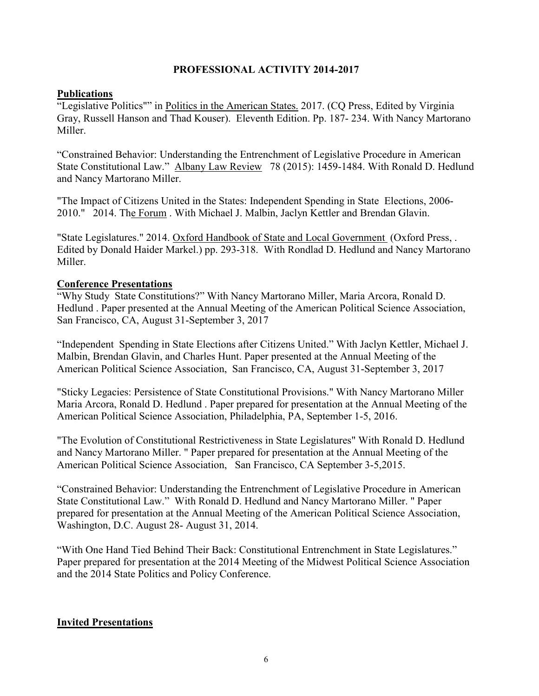# **PROFESSIONAL ACTIVITY 2014-2017**

# **Publications**

"Legislative Politics"" in Politics in the American States. 2017. (CQ Press, Edited by Virginia Gray, Russell Hanson and Thad Kouser). Eleventh Edition. Pp. 187- 234. With Nancy Martorano Miller.

"Constrained Behavior: Understanding the Entrenchment of Legislative Procedure in American State Constitutional Law." Albany Law Review 78 (2015): 1459-1484. With Ronald D. Hedlund and Nancy Martorano Miller.

"The Impact of Citizens United in the States: Independent Spending in State Elections, 2006- 2010." 2014. The Forum . With Michael J. Malbin, Jaclyn Kettler and Brendan Glavin.

"State Legislatures." 2014. Oxford Handbook of State and Local Government (Oxford Press, . Edited by Donald Haider Markel.) pp. 293-318. With Rondlad D. Hedlund and Nancy Martorano Miller.

# **Conference Presentations**

"Why Study State Constitutions?" With Nancy Martorano Miller, Maria Arcora, Ronald D. Hedlund . Paper presented at the Annual Meeting of the American Political Science Association, San Francisco, CA, August 31-September 3, 2017

"Independent Spending in State Elections after Citizens United." With Jaclyn Kettler, Michael J. Malbin, Brendan Glavin, and Charles Hunt. Paper presented at the Annual Meeting of the American Political Science Association, San Francisco, CA, August 31-September 3, 2017

"Sticky Legacies: Persistence of State Constitutional Provisions." With Nancy Martorano Miller Maria Arcora, Ronald D. Hedlund . Paper prepared for presentation at the Annual Meeting of the American Political Science Association, Philadelphia, PA, September 1-5, 2016.

"The Evolution of Constitutional Restrictiveness in State Legislatures" With Ronald D. Hedlund and Nancy Martorano Miller. " Paper prepared for presentation at the Annual Meeting of the American Political Science Association, San Francisco, CA September 3-5,2015.

"Constrained Behavior: Understanding the Entrenchment of Legislative Procedure in American State Constitutional Law." With Ronald D. Hedlund and Nancy Martorano Miller. " Paper prepared for presentation at the Annual Meeting of the American Political Science Association, Washington, D.C. August 28- August 31, 2014.

"With One Hand Tied Behind Their Back: Constitutional Entrenchment in State Legislatures." Paper prepared for presentation at the 2014 Meeting of the Midwest Political Science Association and the 2014 State Politics and Policy Conference.

# **Invited Presentations**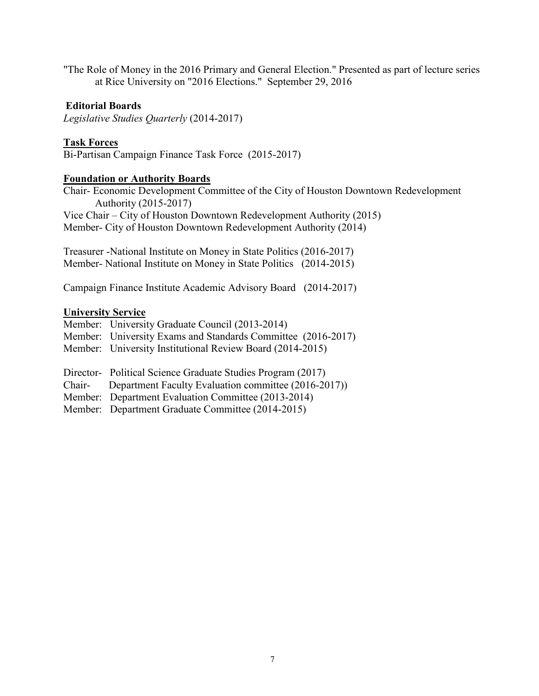"The Role of Money in the 2016 Primary and General Election." Presented as part of lecture series at Rice University on "2016 Elections." September 29, 2016

# **Editorial Boards**

*Legislative Studies Quarterly* (2014-2017)

**Task Forces**  Bi-Partisan Campaign Finance Task Force (2015-2017)

# **Foundation or Authority Boards**

Chair- Economic Development Committee of the City of Houston Downtown Redevelopment Authority (2015-2017) Vice Chair – City of Houston Downtown Redevelopment Authority (2015)

Member- City of Houston Downtown Redevelopment Authority (2014)

Treasurer -National Institute on Money in State Politics (2016-2017) Member- National Institute on Money in State Politics (2014-2015)

Campaign Finance Institute Academic Advisory Board (2014-2017)

### **University Service**

Member: University Graduate Council (2013-2014) Member: University Exams and Standards Committee (2016-2017) Member: University Institutional Review Board (2014-2015) Director- Political Science Graduate Studies Program (2017) Chair- Department Faculty Evaluation committee (2016-2017)) Member: Department Evaluation Committee (2013-2014) Member: Department Graduate Committee (2014-2015)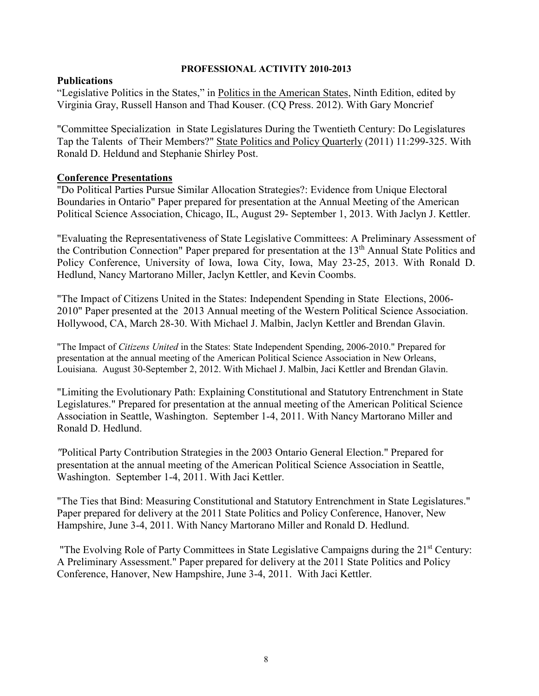## **PROFESSIONAL ACTIVITY 2010-2013**

# **Publications**

"Legislative Politics in the States," in Politics in the American States, Ninth Edition, edited by Virginia Gray, Russell Hanson and Thad Kouser. (CQ Press. 2012). With Gary Moncrief

"Committee Specialization in State Legislatures During the Twentieth Century: Do Legislatures Tap the Talents of Their Members?" State Politics and Policy Quarterly (2011) 11:299-325. With Ronald D. Heldund and Stephanie Shirley Post.

# **Conference Presentations**

"Do Political Parties Pursue Similar Allocation Strategies?: Evidence from Unique Electoral Boundaries in Ontario" Paper prepared for presentation at the Annual Meeting of the American Political Science Association, Chicago, IL, August 29- September 1, 2013. With Jaclyn J. Kettler.

"Evaluating the Representativeness of State Legislative Committees: A Preliminary Assessment of the Contribution Connection" Paper prepared for presentation at the 13<sup>th</sup> Annual State Politics and Policy Conference, University of Iowa, Iowa City, Iowa, May 23-25, 2013. With Ronald D. Hedlund, Nancy Martorano Miller, Jaclyn Kettler, and Kevin Coombs.

"The Impact of Citizens United in the States: Independent Spending in State Elections, 2006- 2010" Paper presented at the 2013 Annual meeting of the Western Political Science Association. Hollywood, CA, March 28-30. With Michael J. Malbin, Jaclyn Kettler and Brendan Glavin.

"The Impact of *Citizens United* in the States: State Independent Spending, 2006-2010." Prepared for presentation at the annual meeting of the American Political Science Association in New Orleans, Louisiana. August 30-September 2, 2012. With Michael J. Malbin, Jaci Kettler and Brendan Glavin.

"Limiting the Evolutionary Path: Explaining Constitutional and Statutory Entrenchment in State Legislatures." Prepared for presentation at the annual meeting of the American Political Science Association in Seattle, Washington. September 1-4, 2011. With Nancy Martorano Miller and Ronald D. Hedlund.

 *"*Political Party Contribution Strategies in the 2003 Ontario General Election." Prepared for presentation at the annual meeting of the American Political Science Association in Seattle, Washington. September 1-4, 2011. With Jaci Kettler.

"The Ties that Bind: Measuring Constitutional and Statutory Entrenchment in State Legislatures." Paper prepared for delivery at the 2011 State Politics and Policy Conference, Hanover, New Hampshire, June 3-4, 2011. With Nancy Martorano Miller and Ronald D. Hedlund.

"The Evolving Role of Party Committees in State Legislative Campaigns during the 21<sup>st</sup> Century: A Preliminary Assessment." Paper prepared for delivery at the 2011 State Politics and Policy Conference, Hanover, New Hampshire, June 3-4, 2011. With Jaci Kettler.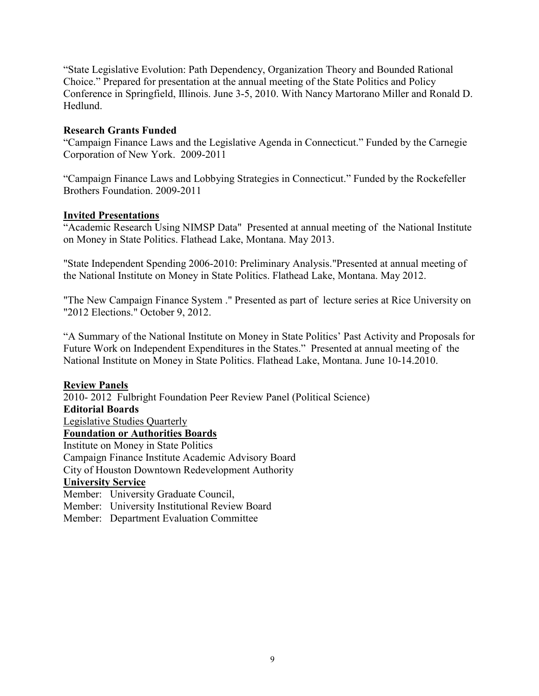"State Legislative Evolution: Path Dependency, Organization Theory and Bounded Rational Choice." Prepared for presentation at the annual meeting of the State Politics and Policy Conference in Springfield, Illinois. June 3-5, 2010. With Nancy Martorano Miller and Ronald D. Hedlund.

# **Research Grants Funded**

"Campaign Finance Laws and the Legislative Agenda in Connecticut." Funded by the Carnegie Corporation of New York. 2009-2011

"Campaign Finance Laws and Lobbying Strategies in Connecticut." Funded by the Rockefeller Brothers Foundation. 2009-2011

# **Invited Presentations**

"Academic Research Using NIMSP Data" Presented at annual meeting of the National Institute on Money in State Politics. Flathead Lake, Montana. May 2013.

"State Independent Spending 2006-2010: Preliminary Analysis."Presented at annual meeting of the National Institute on Money in State Politics. Flathead Lake, Montana. May 2012.

"The New Campaign Finance System ." Presented as part of lecture series at Rice University on "2012 Elections." October 9, 2012.

"A Summary of the National Institute on Money in State Politics' Past Activity and Proposals for Future Work on Independent Expenditures in the States." Presented at annual meeting of the National Institute on Money in State Politics. Flathead Lake, Montana. June 10-14.2010.

# **Review Panels**

2010- 2012 Fulbright Foundation Peer Review Panel (Political Science) **Editorial Boards** Legislative Studies Quarterly **Foundation or Authorities Boards**  Institute on Money in State Politics Campaign Finance Institute Academic Advisory Board City of Houston Downtown Redevelopment Authority **University Service**  Member: University Graduate Council, Member: University Institutional Review Board Member: Department Evaluation Committee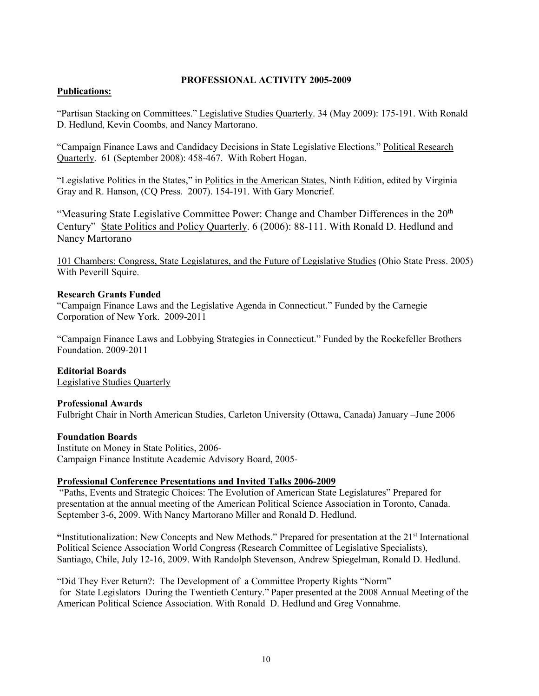## **PROFESSIONAL ACTIVITY 2005-2009**

## **Publications:**

"Partisan Stacking on Committees." Legislative Studies Quarterly. 34 (May 2009): 175-191. With Ronald D. Hedlund, Kevin Coombs, and Nancy Martorano.

"Campaign Finance Laws and Candidacy Decisions in State Legislative Elections." Political Research Quarterly. 61 (September 2008): 458-467. With Robert Hogan.

"Legislative Politics in the States," in Politics in the American States, Ninth Edition, edited by Virginia Gray and R. Hanson, (CQ Press. 2007). 154-191. With Gary Moncrief.

"Measuring State Legislative Committee Power: Change and Chamber Differences in the  $20<sup>th</sup>$ Century" State Politics and Policy Quarterly. 6 (2006): 88-111. With Ronald D. Hedlund and Nancy Martorano

101 Chambers: Congress, State Legislatures, and the Future of Legislative Studies (Ohio State Press. 2005) With Peverill Squire.

### **Research Grants Funded**

"Campaign Finance Laws and the Legislative Agenda in Connecticut." Funded by the Carnegie Corporation of New York. 2009-2011

"Campaign Finance Laws and Lobbying Strategies in Connecticut." Funded by the Rockefeller Brothers Foundation. 2009-2011

**Editorial Boards** Legislative Studies Quarterly

# **Professional Awards**

Fulbright Chair in North American Studies, Carleton University (Ottawa, Canada) January –June 2006

#### **Foundation Boards**

Institute on Money in State Politics, 2006- Campaign Finance Institute Academic Advisory Board, 2005-

### **Professional Conference Presentations and Invited Talks 2006-2009**

"Paths, Events and Strategic Choices: The Evolution of American State Legislatures" Prepared for presentation at the annual meeting of the American Political Science Association in Toronto, Canada. September 3-6, 2009. With Nancy Martorano Miller and Ronald D. Hedlund.

**"**Institutionalization: New Concepts and New Methods." Prepared for presentation at the 21st International Political Science Association World Congress (Research Committee of Legislative Specialists), Santiago, Chile, July 12-16, 2009. With Randolph Stevenson, Andrew Spiegelman, Ronald D. Hedlund.

"Did They Ever Return?: The Development of a Committee Property Rights "Norm" for State Legislators During the Twentieth Century." Paper presented at the 2008 Annual Meeting of the American Political Science Association. With Ronald D. Hedlund and Greg Vonnahme.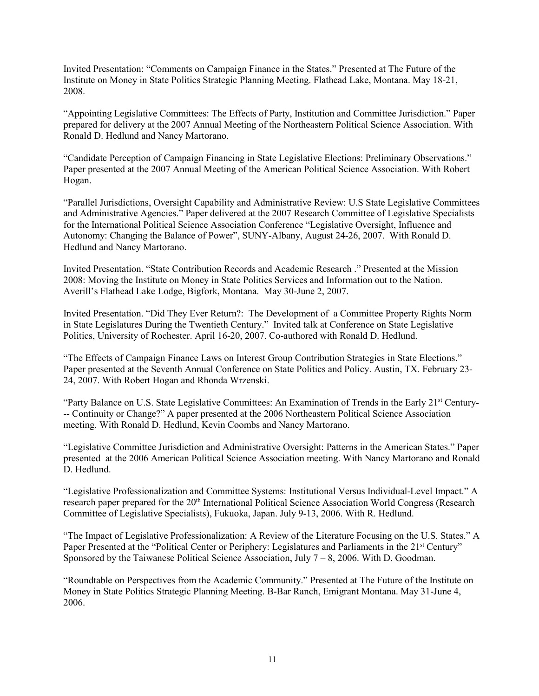Invited Presentation: "Comments on Campaign Finance in the States." Presented at The Future of the Institute on Money in State Politics Strategic Planning Meeting. Flathead Lake, Montana. May 18-21, 2008.

"Appointing Legislative Committees: The Effects of Party, Institution and Committee Jurisdiction." Paper prepared for delivery at the 2007 Annual Meeting of the Northeastern Political Science Association. With Ronald D. Hedlund and Nancy Martorano.

"Candidate Perception of Campaign Financing in State Legislative Elections: Preliminary Observations." Paper presented at the 2007 Annual Meeting of the American Political Science Association. With Robert Hogan.

"Parallel Jurisdictions, Oversight Capability and Administrative Review: U.S State Legislative Committees and Administrative Agencies." Paper delivered at the 2007 Research Committee of Legislative Specialists for the International Political Science Association Conference "Legislative Oversight, Influence and Autonomy: Changing the Balance of Power", SUNY-Albany, August 24-26, 2007. With Ronald D. Hedlund and Nancy Martorano.

Invited Presentation. "State Contribution Records and Academic Research ." Presented at the Mission 2008: Moving the Institute on Money in State Politics Services and Information out to the Nation. Averill's Flathead Lake Lodge, Bigfork, Montana. May 30-June 2, 2007.

Invited Presentation. "Did They Ever Return?: The Development of a Committee Property Rights Norm in State Legislatures During the Twentieth Century." Invited talk at Conference on State Legislative Politics, University of Rochester. April 16-20, 2007. Co-authored with Ronald D. Hedlund.

"The Effects of Campaign Finance Laws on Interest Group Contribution Strategies in State Elections." Paper presented at the Seventh Annual Conference on State Politics and Policy. Austin, TX. February 23- 24, 2007. With Robert Hogan and Rhonda Wrzenski.

"Party Balance on U.S. State Legislative Committees: An Examination of Trends in the Early 21st Century- -- Continuity or Change?" A paper presented at the 2006 Northeastern Political Science Association meeting. With Ronald D. Hedlund, Kevin Coombs and Nancy Martorano.

"Legislative Committee Jurisdiction and Administrative Oversight: Patterns in the American States." Paper presented at the 2006 American Political Science Association meeting. With Nancy Martorano and Ronald D. Hedlund.

"Legislative Professionalization and Committee Systems: Institutional Versus Individual-Level Impact." A research paper prepared for the 20<sup>th</sup> International Political Science Association World Congress (Research Committee of Legislative Specialists), Fukuoka, Japan. July 9-13, 2006. With R. Hedlund.

"The Impact of Legislative Professionalization: A Review of the Literature Focusing on the U.S. States." A Paper Presented at the "Political Center or Periphery: Legislatures and Parliaments in the 21<sup>st</sup> Century" Sponsored by the Taiwanese Political Science Association, July  $7 - 8$ , 2006. With D. Goodman.

"Roundtable on Perspectives from the Academic Community." Presented at The Future of the Institute on Money in State Politics Strategic Planning Meeting. B-Bar Ranch, Emigrant Montana. May 31-June 4, 2006.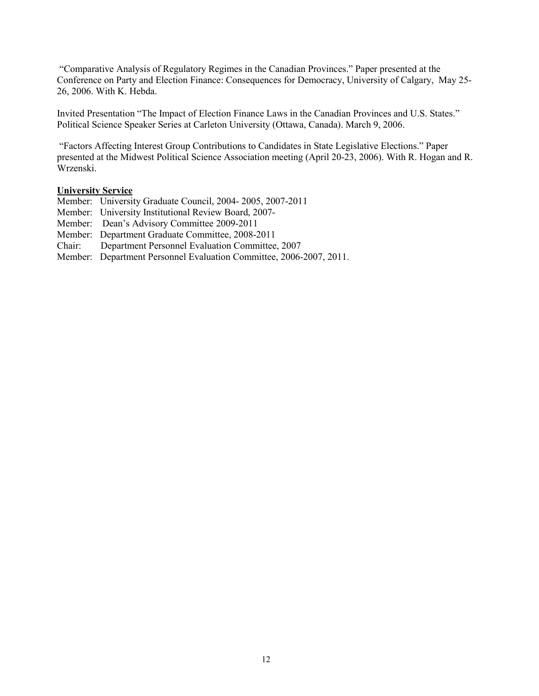"Comparative Analysis of Regulatory Regimes in the Canadian Provinces." Paper presented at the Conference on Party and Election Finance: Consequences for Democracy, University of Calgary, May 25- 26, 2006. With K. Hebda.

Invited Presentation "The Impact of Election Finance Laws in the Canadian Provinces and U.S. States." Political Science Speaker Series at Carleton University (Ottawa, Canada). March 9, 2006.

"Factors Affecting Interest Group Contributions to Candidates in State Legislative Elections." Paper presented at the Midwest Political Science Association meeting (April 20-23, 2006). With R. Hogan and R. Wrzenski.

### **University Service**

Member: University Graduate Council, 2004- 2005, 2007-2011 Member: University Institutional Review Board, 2007- Member: Dean's Advisory Committee 2009-2011 Member: Department Graduate Committee, 2008-2011 Chair: Department Personnel Evaluation Committee, 2007

Member: Department Personnel Evaluation Committee, 2006-2007, 2011.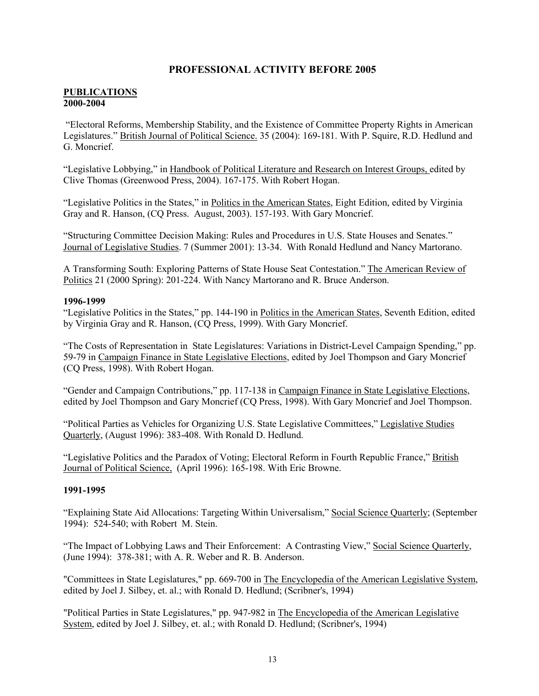# **PROFESSIONAL ACTIVITY BEFORE 2005**

#### **PUBLICATIONS 2000-2004**

"Electoral Reforms, Membership Stability, and the Existence of Committee Property Rights in American Legislatures." British Journal of Political Science. 35 (2004): 169-181. With P. Squire, R.D. Hedlund and G. Moncrief.

"Legislative Lobbying," in Handbook of Political Literature and Research on Interest Groups, edited by Clive Thomas (Greenwood Press, 2004). 167-175. With Robert Hogan.

"Legislative Politics in the States," in Politics in the American States, Eight Edition, edited by Virginia Gray and R. Hanson, (CQ Press. August, 2003). 157-193. With Gary Moncrief.

"Structuring Committee Decision Making: Rules and Procedures in U.S. State Houses and Senates." Journal of Legislative Studies. 7 (Summer 2001): 13-34. With Ronald Hedlund and Nancy Martorano.

A Transforming South: Exploring Patterns of State House Seat Contestation." The American Review of Politics 21 (2000 Spring): 201-224. With Nancy Martorano and R. Bruce Anderson.

### **1996-1999**

"Legislative Politics in the States," pp. 144-190 in Politics in the American States, Seventh Edition, edited by Virginia Gray and R. Hanson, (CQ Press, 1999). With Gary Moncrief.

"The Costs of Representation in State Legislatures: Variations in District-Level Campaign Spending," pp. 59-79 in Campaign Finance in State Legislative Elections, edited by Joel Thompson and Gary Moncrief (CQ Press, 1998). With Robert Hogan.

"Gender and Campaign Contributions," pp. 117-138 in Campaign Finance in State Legislative Elections, edited by Joel Thompson and Gary Moncrief (CQ Press, 1998). With Gary Moncrief and Joel Thompson.

"Political Parties as Vehicles for Organizing U.S. State Legislative Committees," Legislative Studies Quarterly, (August 1996): 383-408. With Ronald D. Hedlund.

"Legislative Politics and the Paradox of Voting; Electoral Reform in Fourth Republic France," British Journal of Political Science, (April 1996): 165-198. With Eric Browne.

### **1991-1995**

"Explaining State Aid Allocations: Targeting Within Universalism," Social Science Quarterly; (September 1994): 524-540; with Robert M. Stein.

"The Impact of Lobbying Laws and Their Enforcement: A Contrasting View," Social Science Quarterly, (June 1994): 378-381; with A. R. Weber and R. B. Anderson.

"Committees in State Legislatures," pp. 669-700 in The Encyclopedia of the American Legislative System, edited by Joel J. Silbey, et. al.; with Ronald D. Hedlund; (Scribner's, 1994)

"Political Parties in State Legislatures," pp. 947-982 in The Encyclopedia of the American Legislative System, edited by Joel J. Silbey, et. al.; with Ronald D. Hedlund; (Scribner's, 1994)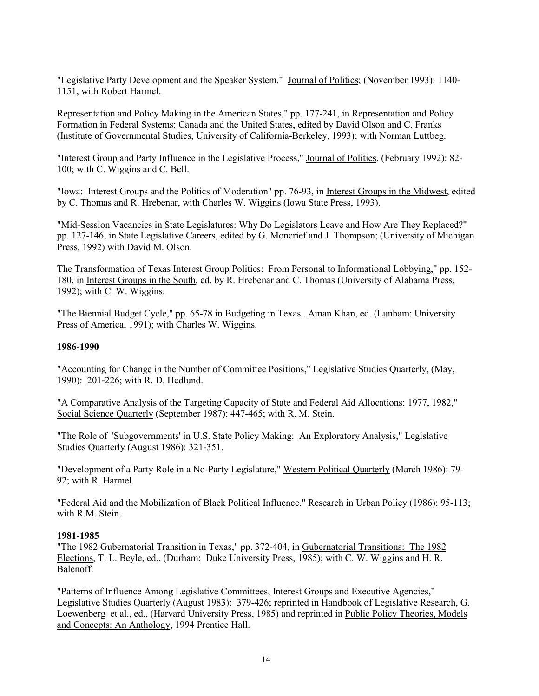"Legislative Party Development and the Speaker System," Journal of Politics; (November 1993): 1140- 1151, with Robert Harmel.

Representation and Policy Making in the American States," pp. 177-241, in Representation and Policy Formation in Federal Systems: Canada and the United States, edited by David Olson and C. Franks (Institute of Governmental Studies, University of California-Berkeley, 1993); with Norman Luttbeg.

"Interest Group and Party Influence in the Legislative Process," Journal of Politics, (February 1992): 82- 100; with C. Wiggins and C. Bell.

"Iowa: Interest Groups and the Politics of Moderation" pp. 76-93, in Interest Groups in the Midwest, edited by C. Thomas and R. Hrebenar, with Charles W. Wiggins (Iowa State Press, 1993).

"Mid-Session Vacancies in State Legislatures: Why Do Legislators Leave and How Are They Replaced?" pp. 127-146, in State Legislative Careers, edited by G. Moncrief and J. Thompson; (University of Michigan Press, 1992) with David M. Olson.

The Transformation of Texas Interest Group Politics: From Personal to Informational Lobbying," pp. 152- 180, in Interest Groups in the South, ed. by R. Hrebenar and C. Thomas (University of Alabama Press, 1992); with C. W. Wiggins.

"The Biennial Budget Cycle," pp. 65-78 in Budgeting in Texas . Aman Khan, ed. (Lunham: University Press of America, 1991); with Charles W. Wiggins.

### **1986-1990**

"Accounting for Change in the Number of Committee Positions," Legislative Studies Quarterly, (May, 1990): 201-226; with R. D. Hedlund.

"A Comparative Analysis of the Targeting Capacity of State and Federal Aid Allocations: 1977, 1982," Social Science Quarterly (September 1987): 447-465; with R. M. Stein.

"The Role of 'Subgovernments' in U.S. State Policy Making: An Exploratory Analysis," Legislative Studies Quarterly (August 1986): 321-351.

"Development of a Party Role in a No-Party Legislature," Western Political Quarterly (March 1986): 79- 92; with R. Harmel.

"Federal Aid and the Mobilization of Black Political Influence," Research in Urban Policy (1986): 95-113; with R.M. Stein.

#### **1981-1985**

"The 1982 Gubernatorial Transition in Texas," pp. 372-404, in Gubernatorial Transitions: The 1982 Elections, T. L. Beyle, ed., (Durham: Duke University Press, 1985); with C. W. Wiggins and H. R. Balenoff.

"Patterns of Influence Among Legislative Committees, Interest Groups and Executive Agencies," Legislative Studies Quarterly (August 1983): 379-426; reprinted in Handbook of Legislative Research, G. Loewenberg et al., ed., (Harvard University Press, 1985) and reprinted in Public Policy Theories, Models and Concepts: An Anthology, 1994 Prentice Hall.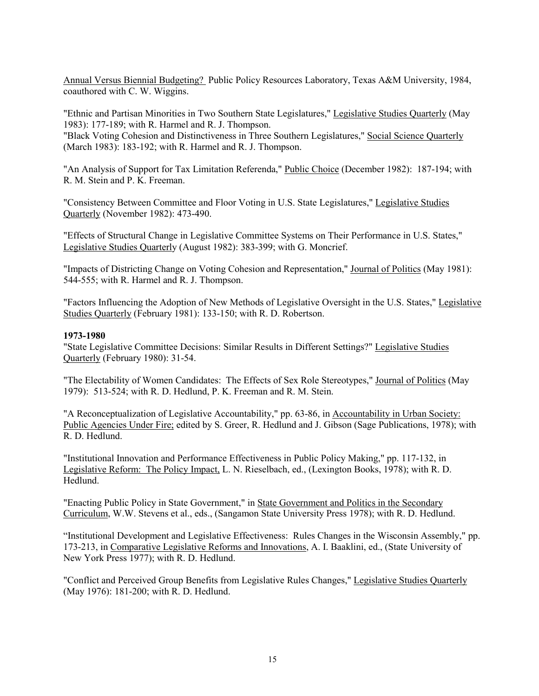Annual Versus Biennial Budgeting? Public Policy Resources Laboratory, Texas A&M University, 1984, coauthored with C. W. Wiggins.

"Ethnic and Partisan Minorities in Two Southern State Legislatures," Legislative Studies Quarterly (May 1983): 177-189; with R. Harmel and R. J. Thompson.

"Black Voting Cohesion and Distinctiveness in Three Southern Legislatures," Social Science Quarterly (March 1983): 183-192; with R. Harmel and R. J. Thompson.

"An Analysis of Support for Tax Limitation Referenda," Public Choice (December 1982): 187-194; with R. M. Stein and P. K. Freeman.

"Consistency Between Committee and Floor Voting in U.S. State Legislatures," Legislative Studies Quarterly (November 1982): 473-490.

"Effects of Structural Change in Legislative Committee Systems on Their Performance in U.S. States," Legislative Studies Quarterly (August 1982): 383-399; with G. Moncrief.

"Impacts of Districting Change on Voting Cohesion and Representation," Journal of Politics (May 1981): 544-555; with R. Harmel and R. J. Thompson.

"Factors Influencing the Adoption of New Methods of Legislative Oversight in the U.S. States," Legislative Studies Quarterly (February 1981): 133-150; with R. D. Robertson.

#### **1973-1980**

"State Legislative Committee Decisions: Similar Results in Different Settings?" Legislative Studies Quarterly (February 1980): 31-54.

"The Electability of Women Candidates: The Effects of Sex Role Stereotypes," Journal of Politics (May 1979): 513-524; with R. D. Hedlund, P. K. Freeman and R. M. Stein.

"A Reconceptualization of Legislative Accountability," pp. 63-86, in Accountability in Urban Society: Public Agencies Under Fire; edited by S. Greer, R. Hedlund and J. Gibson (Sage Publications, 1978); with R. D. Hedlund.

"Institutional Innovation and Performance Effectiveness in Public Policy Making," pp. 117-132, in Legislative Reform: The Policy Impact, L. N. Rieselbach, ed., (Lexington Books, 1978); with R. D. Hedlund.

"Enacting Public Policy in State Government," in State Government and Politics in the Secondary Curriculum, W.W. Stevens et al., eds., (Sangamon State University Press 1978); with R. D. Hedlund.

"Institutional Development and Legislative Effectiveness: Rules Changes in the Wisconsin Assembly," pp. 173-213, in Comparative Legislative Reforms and Innovations, A. I. Baaklini, ed., (State University of New York Press 1977); with R. D. Hedlund.

"Conflict and Perceived Group Benefits from Legislative Rules Changes," Legislative Studies Quarterly (May 1976): 181-200; with R. D. Hedlund.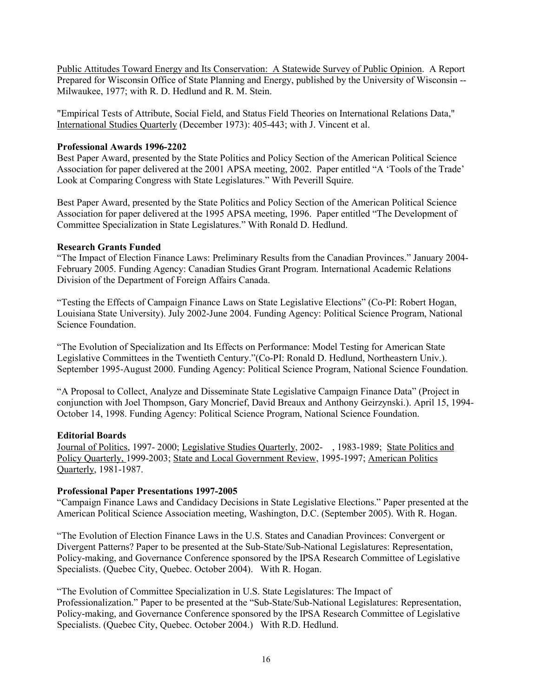Public Attitudes Toward Energy and Its Conservation: A Statewide Survey of Public Opinion. A Report Prepared for Wisconsin Office of State Planning and Energy, published by the University of Wisconsin -- Milwaukee, 1977; with R. D. Hedlund and R. M. Stein.

"Empirical Tests of Attribute, Social Field, and Status Field Theories on International Relations Data," International Studies Quarterly (December 1973): 405-443; with J. Vincent et al.

### **Professional Awards 1996-2202**

Best Paper Award, presented by the State Politics and Policy Section of the American Political Science Association for paper delivered at the 2001 APSA meeting, 2002. Paper entitled "A 'Tools of the Trade' Look at Comparing Congress with State Legislatures." With Peverill Squire.

Best Paper Award, presented by the State Politics and Policy Section of the American Political Science Association for paper delivered at the 1995 APSA meeting, 1996. Paper entitled "The Development of Committee Specialization in State Legislatures." With Ronald D. Hedlund.

### **Research Grants Funded**

"The Impact of Election Finance Laws: Preliminary Results from the Canadian Provinces." January 2004- February 2005. Funding Agency: Canadian Studies Grant Program. International Academic Relations Division of the Department of Foreign Affairs Canada.

"Testing the Effects of Campaign Finance Laws on State Legislative Elections" (Co-PI: Robert Hogan, Louisiana State University). July 2002-June 2004. Funding Agency: Political Science Program, National Science Foundation.

"The Evolution of Specialization and Its Effects on Performance: Model Testing for American State Legislative Committees in the Twentieth Century."(Co-PI: Ronald D. Hedlund, Northeastern Univ.). September 1995-August 2000. Funding Agency: Political Science Program, National Science Foundation.

"A Proposal to Collect, Analyze and Disseminate State Legislative Campaign Finance Data" (Project in conjunction with Joel Thompson, Gary Moncrief, David Breaux and Anthony Geirzynski.). April 15, 1994- October 14, 1998. Funding Agency: Political Science Program, National Science Foundation.

#### **Editorial Boards**

Journal of Politics, 1997- 2000; Legislative Studies Quarterly, 2002- , 1983-1989; State Politics and Policy Quarterly, 1999-2003; State and Local Government Review, 1995-1997; American Politics Quarterly, 1981-1987.

### **Professional Paper Presentations 1997-2005**

"Campaign Finance Laws and Candidacy Decisions in State Legislative Elections." Paper presented at the American Political Science Association meeting, Washington, D.C. (September 2005). With R. Hogan.

"The Evolution of Election Finance Laws in the U.S. States and Canadian Provinces: Convergent or Divergent Patterns? Paper to be presented at the Sub-State/Sub-National Legislatures: Representation, Policy-making, and Governance Conference sponsored by the IPSA Research Committee of Legislative Specialists. (Quebec City, Quebec. October 2004). With R. Hogan.

"The Evolution of Committee Specialization in U.S. State Legislatures: The Impact of Professionalization." Paper to be presented at the "Sub-State/Sub-National Legislatures: Representation, Policy-making, and Governance Conference sponsored by the IPSA Research Committee of Legislative Specialists. (Quebec City, Quebec. October 2004.) With R.D. Hedlund.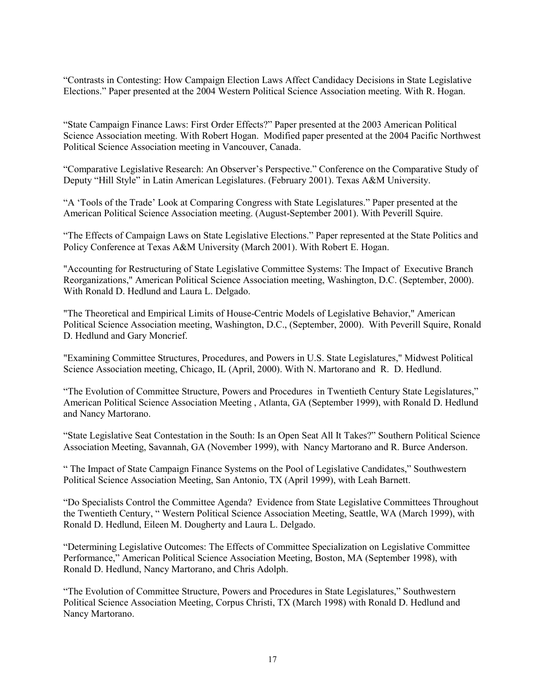"Contrasts in Contesting: How Campaign Election Laws Affect Candidacy Decisions in State Legislative Elections." Paper presented at the 2004 Western Political Science Association meeting. With R. Hogan.

"State Campaign Finance Laws: First Order Effects?" Paper presented at the 2003 American Political Science Association meeting. With Robert Hogan. Modified paper presented at the 2004 Pacific Northwest Political Science Association meeting in Vancouver, Canada.

"Comparative Legislative Research: An Observer's Perspective." Conference on the Comparative Study of Deputy "Hill Style" in Latin American Legislatures. (February 2001). Texas A&M University.

"A 'Tools of the Trade' Look at Comparing Congress with State Legislatures." Paper presented at the American Political Science Association meeting. (August-September 2001). With Peverill Squire.

"The Effects of Campaign Laws on State Legislative Elections." Paper represented at the State Politics and Policy Conference at Texas A&M University (March 2001). With Robert E. Hogan.

"Accounting for Restructuring of State Legislative Committee Systems: The Impact of Executive Branch Reorganizations," American Political Science Association meeting, Washington, D.C. (September, 2000). With Ronald D. Hedlund and Laura L. Delgado.

"The Theoretical and Empirical Limits of House-Centric Models of Legislative Behavior," American Political Science Association meeting, Washington, D.C., (September, 2000). With Peverill Squire, Ronald D. Hedlund and Gary Moncrief.

"Examining Committee Structures, Procedures, and Powers in U.S. State Legislatures," Midwest Political Science Association meeting, Chicago, IL (April, 2000). With N. Martorano and R. D. Hedlund.

"The Evolution of Committee Structure, Powers and Procedures in Twentieth Century State Legislatures," American Political Science Association Meeting , Atlanta, GA (September 1999), with Ronald D. Hedlund and Nancy Martorano.

"State Legislative Seat Contestation in the South: Is an Open Seat All It Takes?" Southern Political Science Association Meeting, Savannah, GA (November 1999), with Nancy Martorano and R. Burce Anderson.

" The Impact of State Campaign Finance Systems on the Pool of Legislative Candidates," Southwestern Political Science Association Meeting, San Antonio, TX (April 1999), with Leah Barnett.

"Do Specialists Control the Committee Agenda? Evidence from State Legislative Committees Throughout the Twentieth Century, " Western Political Science Association Meeting, Seattle, WA (March 1999), with Ronald D. Hedlund, Eileen M. Dougherty and Laura L. Delgado.

"Determining Legislative Outcomes: The Effects of Committee Specialization on Legislative Committee Performance," American Political Science Association Meeting, Boston, MA (September 1998), with Ronald D. Hedlund, Nancy Martorano, and Chris Adolph.

"The Evolution of Committee Structure, Powers and Procedures in State Legislatures," Southwestern Political Science Association Meeting, Corpus Christi, TX (March 1998) with Ronald D. Hedlund and Nancy Martorano.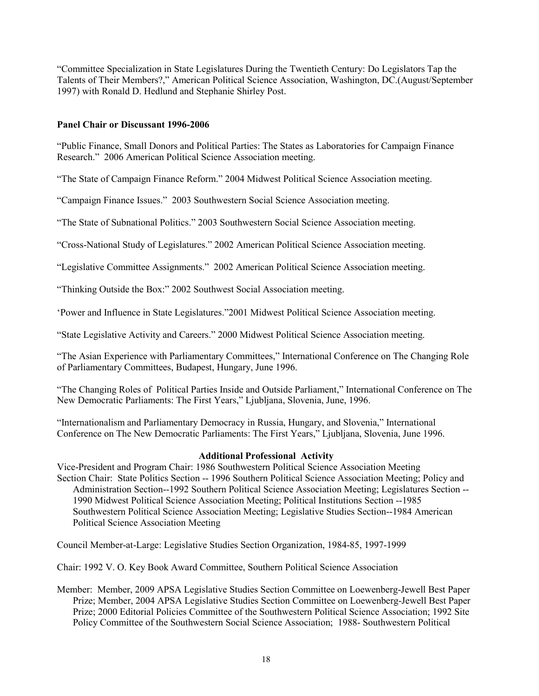"Committee Specialization in State Legislatures During the Twentieth Century: Do Legislators Tap the Talents of Their Members?," American Political Science Association, Washington, DC.(August/September 1997) with Ronald D. Hedlund and Stephanie Shirley Post.

### **Panel Chair or Discussant 1996-2006**

"Public Finance, Small Donors and Political Parties: The States as Laboratories for Campaign Finance Research." 2006 American Political Science Association meeting.

"The State of Campaign Finance Reform." 2004 Midwest Political Science Association meeting.

"Campaign Finance Issues." 2003 Southwestern Social Science Association meeting.

"The State of Subnational Politics." 2003 Southwestern Social Science Association meeting.

"Cross-National Study of Legislatures." 2002 American Political Science Association meeting.

"Legislative Committee Assignments." 2002 American Political Science Association meeting.

"Thinking Outside the Box:" 2002 Southwest Social Association meeting.

'Power and Influence in State Legislatures."2001 Midwest Political Science Association meeting.

"State Legislative Activity and Careers." 2000 Midwest Political Science Association meeting.

"The Asian Experience with Parliamentary Committees," International Conference on The Changing Role of Parliamentary Committees, Budapest, Hungary, June 1996.

"The Changing Roles of Political Parties Inside and Outside Parliament," International Conference on The New Democratic Parliaments: The First Years," Ljubljana, Slovenia, June, 1996.

"Internationalism and Parliamentary Democracy in Russia, Hungary, and Slovenia," International Conference on The New Democratic Parliaments: The First Years," Ljubljana, Slovenia, June 1996.

#### **Additional Professional Activity**

Vice-President and Program Chair: 1986 Southwestern Political Science Association Meeting Section Chair: State Politics Section -- 1996 Southern Political Science Association Meeting; Policy and Administration Section--1992 Southern Political Science Association Meeting; Legislatures Section -- 1990 Midwest Political Science Association Meeting; Political Institutions Section --1985 Southwestern Political Science Association Meeting; Legislative Studies Section--1984 American Political Science Association Meeting

Council Member-at-Large: Legislative Studies Section Organization, 1984-85, 1997-1999

Chair: 1992 V. O. Key Book Award Committee, Southern Political Science Association

Member: Member, 2009 APSA Legislative Studies Section Committee on Loewenberg-Jewell Best Paper Prize; Member, 2004 APSA Legislative Studies Section Committee on Loewenberg-Jewell Best Paper Prize; 2000 Editorial Policies Committee of the Southwestern Political Science Association; 1992 Site Policy Committee of the Southwestern Social Science Association; 1988- Southwestern Political